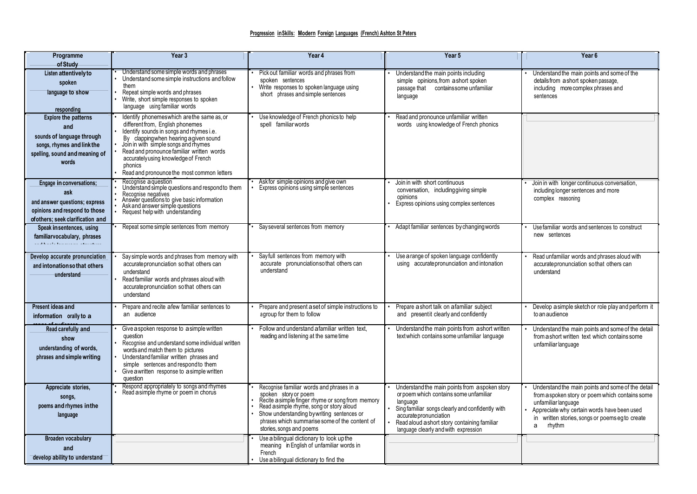| Programme<br>of Study                                                                                                                     | Year <sub>3</sub>                                                                                                                                                                                                                                                                                                                                         | Year 4                                                                                                                                                                                                                                                                                        | Year 5                                                                                                                                                                                                                                                                     | Year <sub>6</sub>                                                                                                                                                                                                                           |
|-------------------------------------------------------------------------------------------------------------------------------------------|-----------------------------------------------------------------------------------------------------------------------------------------------------------------------------------------------------------------------------------------------------------------------------------------------------------------------------------------------------------|-----------------------------------------------------------------------------------------------------------------------------------------------------------------------------------------------------------------------------------------------------------------------------------------------|----------------------------------------------------------------------------------------------------------------------------------------------------------------------------------------------------------------------------------------------------------------------------|---------------------------------------------------------------------------------------------------------------------------------------------------------------------------------------------------------------------------------------------|
| Listen attentively to<br>spoken<br>language to show<br>responding                                                                         | Understand some simple words and phrases<br>Understand some simple instructions and follow<br>them<br>Repeat simple words and phrases<br>Write, short simple responses to spoken<br>language using familiar words                                                                                                                                         | Pick out familiar words and phrases from<br>spoken sentences<br>Write responses to spoken language using<br>short phrases and simple sentences                                                                                                                                                | Understand the main points including<br>simple opinions, from a short spoken<br>passage that contains some unfamiliar<br>language                                                                                                                                          | Understand the main points and some of the<br>details from a short spoken passage,<br>including more complex phrases and<br>sentences                                                                                                       |
| <b>Explore the patterns</b><br>and<br>sounds of language through<br>songs, rhymes and link the<br>spelling, sound and meaning of<br>words | Identify phonemeswhich are the same as, or<br>different from, English phonemes<br>Identify sounds in songs and rhymes i.e.<br>By clapping when hearing a given sound<br>Join in with simple songs and rhymes<br>Read and pronounce familiar written words<br>accuratelyusing knowledge of French<br>phonics<br>Read and pronounce the most common letters | Use knowledge of French phonics to help<br>spell familiar words                                                                                                                                                                                                                               | Read and pronounce unfamiliar written<br>words using knowledge of French phonics                                                                                                                                                                                           |                                                                                                                                                                                                                                             |
| Engage in conversations;<br>ask<br>and answer questions; express<br>opinions and respond to those<br>ofothers: seek clarification and     | Recognise a question<br>Understand simple questions and respond to them<br>Recognise negatives<br>Answer questions to give basic information<br>Ask and answer simple questions<br>Request help with understanding                                                                                                                                        | Ask for simple opinions and give own<br>Express opinions using simple sentences                                                                                                                                                                                                               | Join in with short continuous<br>conversation, including giving simple<br>opinions<br>Express opinions using complex sentences                                                                                                                                             | Join in with longer continuous conversation,<br>including longer sentences and more<br>complex reasoning                                                                                                                                    |
| Speak in sentences, using<br>familiarvocabulary, phrases<br>.<br>Santa de la final de la decenie de la final de la final                  | Repeat some simple sentences from memory                                                                                                                                                                                                                                                                                                                  | Say several sentences from memory                                                                                                                                                                                                                                                             | Adapt familiar sentences by changing words                                                                                                                                                                                                                                 | Use familiar words and sentences to construct<br>new sentences                                                                                                                                                                              |
| Develop accurate pronunciation<br>and intonation so that others<br>understand                                                             | Say simple words and phrases from memory with<br>accurate pronunciation so that others can<br>understand<br>Read familiar words and phrases aloud with<br>accurate pronunciation so that others can<br>understand                                                                                                                                         | Sayfull sentences from memory with<br>accurate pronunciations othat others can<br>understand                                                                                                                                                                                                  | Use a range of spoken language confidently<br>using accurate pronunciation and intonation                                                                                                                                                                                  | Read unfamiliar words and phrases aloud with<br>accurate pronunciation so that others can<br>understand                                                                                                                                     |
| Present ideas and<br>information orally to a                                                                                              | Prepare and recite a few familiar sentences to<br>an audience                                                                                                                                                                                                                                                                                             | Prepare and present a set of simple instructions to<br>agroup for them to follow                                                                                                                                                                                                              | Prepare a short talk on a familiar subject<br>and presentit clearly and confidently                                                                                                                                                                                        | Develop a simple sketch or role play and perform it<br>to an audience                                                                                                                                                                       |
| Read carefully and<br>show<br>understanding of words,<br>phrases and simple writing                                                       | Give a spoken response to a simple written<br>question<br>Recognise and understand some individual written<br>words and match them to pictures<br>Understand familiar written phrases and<br>simple sentences and respond to them<br>Give a written response to a simple written<br>question                                                              | Follow and understand a familiar written text,<br>reading and listening at the same time                                                                                                                                                                                                      | Understand the main points from a short written<br>text which contains some unfamiliar language                                                                                                                                                                            | Understand the main points and some of the detail<br>from a short written text which contains some<br>unfamiliar language                                                                                                                   |
| Appreciate stories,<br>songs,<br>poems and rhymes in the<br>language                                                                      | Respond appropriately to songs and rhymes<br>Read a simple rhyme or poem in chorus                                                                                                                                                                                                                                                                        | Recognise familiar words and phrases in a<br>spoken story or poem<br>Recite a simple finger rhyme or song from memory<br>Read a simple rhyme, song or story aloud<br>Show understanding by writing sentences or<br>phrases which summarise some of the content of<br>stories, songs and poems | Understand the main points from a spoken story<br>or poem which contains some unfamiliar<br>language<br>Sing familiar songs clearly and confidently with<br>accurate pronunciation<br>Read aloud a short story containing familiar<br>language clearly and with expression | Understand the main points and some of the detail<br>from a spoken story or poem which contains some<br>unfamiliar language<br>Appreciate why certain words have been used<br>in written stories, songs or poems egto create<br>rhythm<br>a |
| Broaden vocabulary<br>and<br>develop ability to understand                                                                                |                                                                                                                                                                                                                                                                                                                                                           | Use a bilingual dictionary to look up the<br>meaning in English of unfamiliar words in<br>French<br>Use a bilingual dictionary to find the                                                                                                                                                    |                                                                                                                                                                                                                                                                            |                                                                                                                                                                                                                                             |

**newwords that are introduced,**